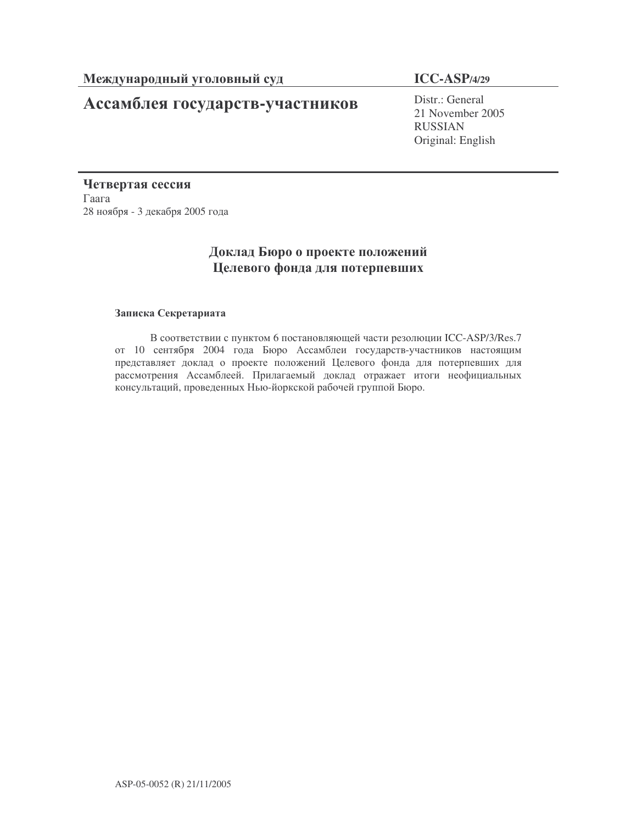# Ассамблея государств-участников

## **ICC-ASP/4/29**

Distr.: General 21 November 2005 RUSSIAN Original: English

Четвертая сессия  $\Gamma$ aara 28 ноября - 3 декабря 2005 года

## Доклад Бюро о проекте положений Целевого фонда для потерпевших

#### Записка Секретариата

В соответствии с пунктом 6 постановляющей части резолюции ICC-ASP/3/Res.7 от 10 сентября 2004 года Бюро Ассамблеи государств-участников настоящим представляет доклад о проекте положений Целевого фонда для потерпевших для рассмотрения Ассамблеей. Прилагаемый доклад отражает итоги неофициальных консультаций, проведенных Нью-йоркской рабочей группой Бюро.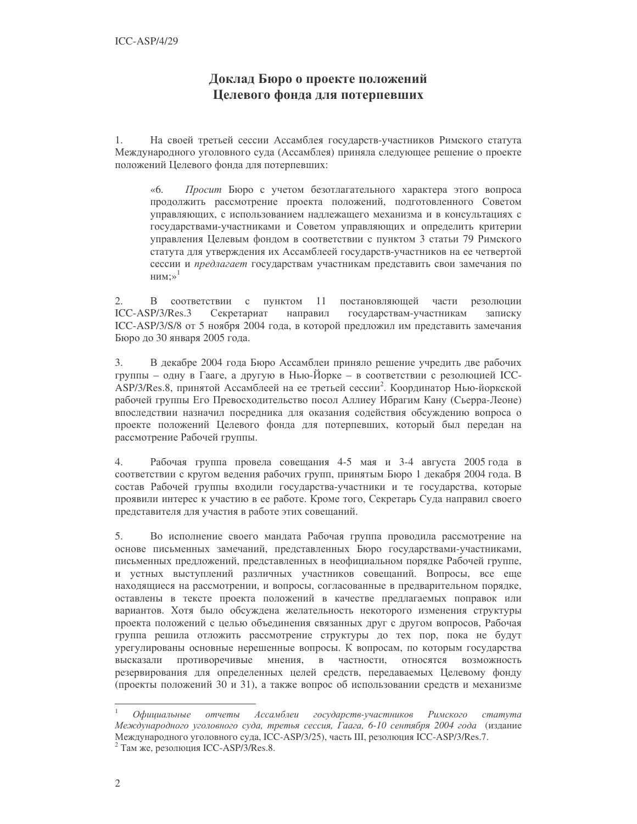## Доклад Бюро о проекте положений Целевого фонда для потерпевших

 $1<sub>1</sub>$ На своей третьей сессии Ассамблея государств-участников Римского статута Международного уголовного суда (Ассамблея) приняла следующее решение о проекте положений Целевого фонда для потерпевших:

 $\ll 6$ . Просит Бюро с учетом безотлагательного характера этого вопроса продолжить рассмотрение проекта положений, подготовленного Советом управляющих, с использованием надлежащего механизма и в консультациях с государствами-участниками и Советом управляющих и определить критерии управления Целевым фондом в соответствии с пунктом 3 статьи 79 Римского статута для утверждения их Ассамблеей государств-участников на ее четвертой сессии и предлагает государствам участникам представить свои замечания по НИМ:»<sup>1</sup>

В соответствии с пунктом 11  $2.$ постановляющей части резолюции  $ICC-ASP/3/Res.3$ Секретариат направил государствам-участникам записку ICC-ASP/3/S/8 от 5 ноября 2004 года, в которой предложил им представить замечания Бюро до 30 января 2005 года.

В декабре 2004 года Бюро Ассамблеи приняло решение учредить две рабочих  $\mathfrak{Z}$ . группы - одну в Гааге, а другую в Нью-Йорке - в соответствии с резолюцией ICC-ASP/3/Res.8, принятой Ассамблеей на ее третьей сессии<sup>2</sup>. Координатор Нью-йоркской рабочей группы Его Превосходительство посол Аллиеу Ибрагим Кану (Сьерра-Леоне) впоследствии назначил посредника для оказания содействия обсуждению вопроса о проекте положений Целевого фонда для потерпевших, который был передан на рассмотрение Рабочей группы.

 $\overline{4}$ Рабочая группа провела совещания 4-5 мая и 3-4 августа 2005 года в соответствии с кругом ведения рабочих групп, принятым Бюро 1 декабря 2004 года. В состав Рабочей группы входили государства-участники и те государства, которые проявили интерес к участию в ее работе. Кроме того, Секретарь Суда направил своего представителя для участия в работе этих совещаний.

5. Во исполнение своего мандата Рабочая группа проводила рассмотрение на основе письменных замечаний, представленных Бюро государствами-участниками, письменных предложений, представленных в неофициальном порядке Рабочей группе, и устных выступлений различных участников совещаний. Вопросы, все еще находящиеся на рассмотрении, и вопросы, согласованные в предварительном порядке, оставлены в тексте проекта положений в качестве предлагаемых поправок или вариантов. Хотя было обсуждена желательность некоторого изменения структуры проекта положений с целью объединения связанных друг с другом вопросов, Рабочая группа решила отложить рассмотрение структуры до тех пор, пока не будут урегулированы основные нерешенные вопросы. К вопросам, по которым государства высказали противоречивые мнения,  $\overline{B}$ частности, относятся возможность резервирования для определенных целей средств, передаваемых Целевому фонду (проекты положений 30 и 31), а также вопрос об использовании средств и механизме

Офиииальные Ассамблеи государств-участников отчеты Римского cmamvma Международного уголовного суда, третья сессия, Гаага, 6-10 сентября 2004 года (издание Международного уголовного суда, ICC-ASP/3/25), часть III, резолюция ICC-ASP/3/Res.7.

Там же, резолюция ICC-ASP/3/Res.8.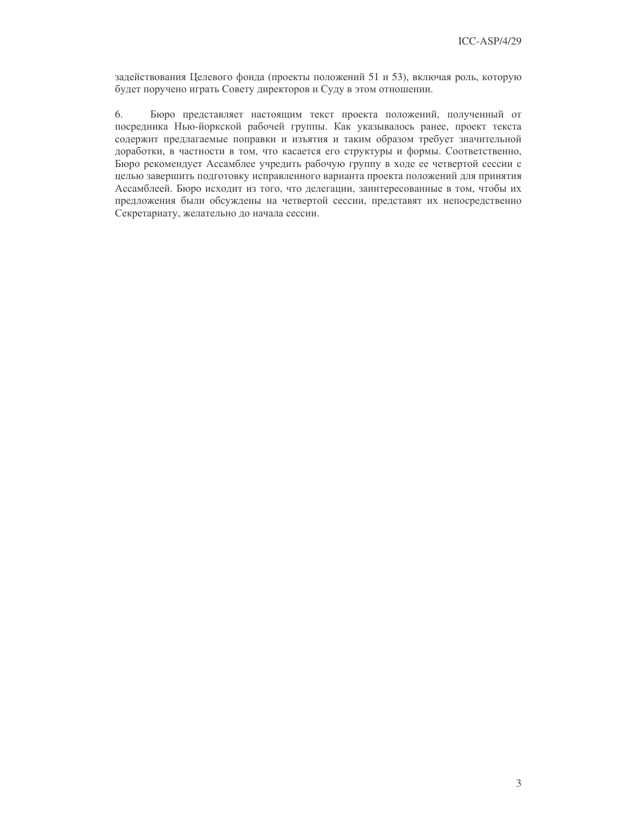задействования Целевого фонда (проекты положений 51 и 53), включая роль, которую будет поручено играть Совету директоров и Суду в этом отношении.

6. Бюро представляет настоящим текст проекта положений, полученный от посредника Нью-йоркской рабочей группы. Как указывалось ранее, проект текста содержит предлагаемые поправки и изъятия и таким образом требует значительной доработки, в частности в том, что касается его структуры и формы. Соответственно, Бюро рекомендует Ассамблее учредить рабочую группу в ходе ее четвертой сессии с целью завершить подготовку исправленного варианта проекта положений для принятия Ассамблеей. Бюро исходит из того, что делегации, заинтересованные в том, чтобы их предложения были обсуждены на четвертой сессии, представят их непосредственно Секретариату, желательно до начала сессии.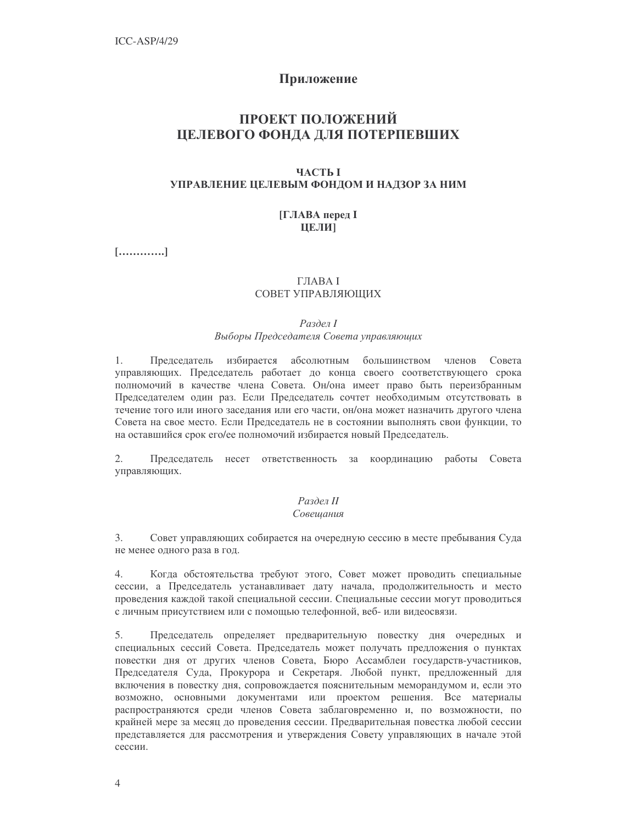## Приложение

## ПРОЕКТ ПОЛОЖЕНИЙ ЦЕЛЕВОГО ФОНДА ДЛЯ ПОТЕРПЕВШИХ

#### **ЧАСТЬ І** УПРАВЛЕНИЕ ЦЕЛЕВЫМ ФОНДОМ И НАДЗОР ЗА НИМ

#### **[ГЛАВА перед I** ЦЕЛИ

 $[\ldots, \ldots, \ldots, \ldots]$ 

## **ГЛАВА І**

#### СОВЕТ УПРАВЛЯЮШИХ

#### Раздел І

#### Выборы Председателя Совета управляющих

Председатель избирается абсолютным большинством членов Совета 1. управляющих. Председатель работает до конца своего соответствующего срока полномочий в качестве члена Совета. Он/она имеет право быть переизбранным Председателем один раз. Если Председатель сочтет необходимым отсутствовать в течение того или иного заседания или его части, он/она может назначить другого члена Совета на свое место. Если Председатель не в состоянии выполнять свои функции, то на оставшийся срок его/ее полномочий избирается новый Председатель.

2. Председатель несет ответственность за координацию работы Совета управляющих.

# Раздел II

#### Совешания

 $\overline{3}$ . Совет управляющих собирается на очередную сессию в месте пребывания Суда не менее одного раза в год.

4. Когда обстоятельства требуют этого, Совет может проводить специальные сессии, а Председатель устанавливает дату начала, продолжительность и место проведения каждой такой специальной сессии. Специальные сессии могут проводиться с личным присутствием или с помощью телефонной, веб- или видеосвязи.

5. Председатель определяет предварительную повестку дня очередных и специальных сессий Совета. Председатель может получать предложения о пунктах повестки дня от других членов Совета, Бюро Ассамблеи государств-участников, Председателя Суда, Прокурора и Секретаря. Любой пункт, предложенный для включения в повестку дня, сопровождается пояснительным меморандумом и, если это возможно, основными документами или проектом решения. Все материалы распространяются среди членов Совета заблаговременно и, по возможности, по крайней мере за месяц до проведения сессии. Предварительная повестка любой сессии представляется для рассмотрения и утверждения Совету управляющих в начале этой сессии.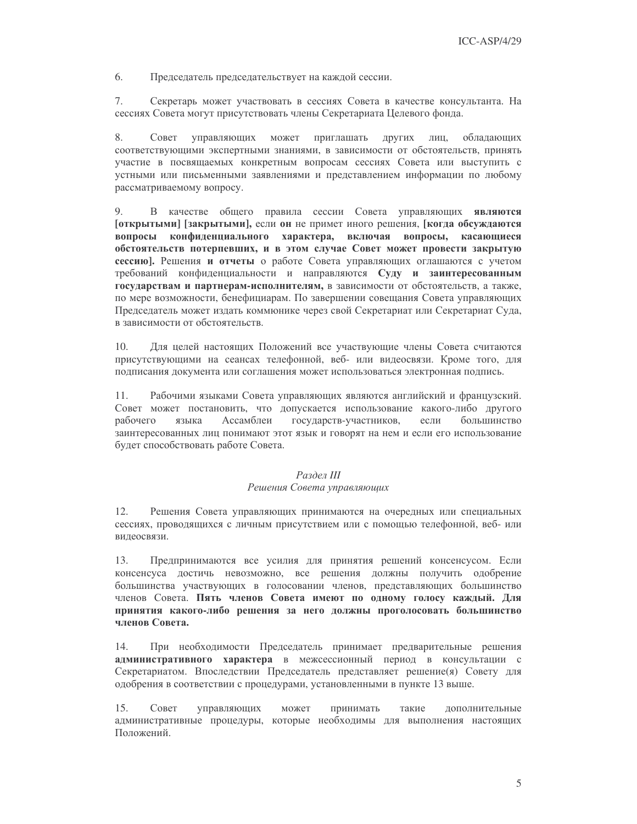6. Председатель председательствует на каждой сессии.

7. Секретарь может участвовать в сессиях Совета в качестве консультанта. На сессиях Совета могут присутствовать члены Секретариата Целевого фонда.

8. Совет управляющих может приглашать других лиц, обладающих соответствующими экспертными знаниями, в зависимости от обстоятельств, принять участие в посвящаемых конкретным вопросам сессиях Совета или выступить с устными или письменными заявлениями и представлением информации по любому рассматриваемому вопросу.

9. В качестве общего правила сессии Совета управляющих являются [открытыми] [закрытыми], если он не примет иного решения, [когда обсуждаются вопросы конфиденциального характера, включая вопросы, касающиеся обстоятельств потерпевших, и в этом случае Совет может провести закрытую сессию]. Решения и отчеты о работе Совета управляющих оглашаются с учетом требований конфиденциальности и направляются Суду и заинтересованным государствам и партнерам-исполнителям, в зависимости от обстоятельств, а также, по мере возможности, бенефициарам. По завершении совещания Совета управляющих Председатель может издать коммюнике через свой Секретариат или Секретариат Суда, в зависимости от обстоятельств.

 $10<sub>1</sub>$ Для целей настоящих Положений все участвующие члены Совета считаются присутствующими на сеансах телефонной, веб- или видеосвязи. Кроме того, для подписания документа или соглашения может использоваться электронная подпись.

Рабочими языками Совета управляющих являются английский и французский. 11. Совет может постановить, что допускается использование какого-либо другого рабочего языка Ассамблеи государств-участников, если большинство заинтересованных лиц понимают этот язык и говорят на нем и если его использование будет способствовать работе Совета.

#### Раздел III

#### Решения Совета управляющих

12. Решения Совета управляющих принимаются на очередных или специальных сессиях, проводящихся с личным присутствием или с помощью телефонной, веб-или видеосвязи.

Предпринимаются все усилия для принятия решений консенсусом. Если 13. консенсуса достичь невозможно, все решения должны получить одобрение большинства участвующих в голосовании членов, представляющих большинство членов Совета. Пять членов Совета имеют по одному голосу каждый. Для принятия какого-либо решения за него должны проголосовать большинство членов Совета.

При необходимости Председатель принимает предварительные решения 14. административного характера в межсессионный период в консультации с Секретариатом. Впоследствии Председатель представляет решение(я) Совету для одобрения в соответствии с процедурами, установленными в пункте 13 выше.

15. Совет управляющих может принимать такие дополнительные административные процедуры, которые необходимы для выполнения настоящих Положений.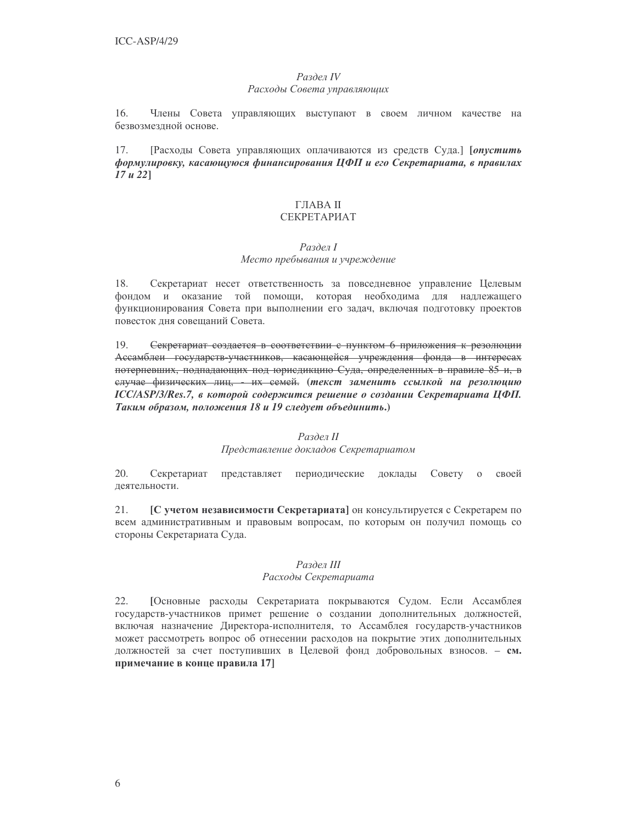#### Раздел IV Расходы Совета управляющих

 $16.$ Члены Совета управляющих выступают в своем личном качестве на безвозмездной основе.

[Расходы Совета управляющих оплачиваются из средств Суда.] [опустить 17. формулировку, касающуюся финансирования ЦФП и его Секретариата, в правилах  $17 u 22$ ]

### ГЛАВА II СЕКРЕТАРИАТ

#### Раздел І

### Место пребывания и учреждение

18. Секретариат несет ответственность за повседневное управление Целевым фондом и оказание той помощи, которая необходима для надлежащего функционирования Совета при выполнении его задач, включая подготовку проектов повесток дня совещаний Совета.

Секретариат создается в соответствии с пунктом 6 приложения к резолюции 19. Ассамблеи государств-участников, касающейся учреждения фонда в интересах потерпевших, подпадающих под юрисдикцию Суда, определенных в правиле 85 и, в елучае физических лиц, их семей. (текст заменить ссылкой на резолюцию ICC/ASP/3/Res.7, в которой содержится решение о создании Секретариата ЦФП. Таким образом, положения 18 и 19 следует объединить.)

#### Раздел II

Представление докладов Секретариатом

 $20.$ Секретариат представляет периодические доклады Совету о своей деятельности.

21. [С учетом независимости Секретариата] он консультируется с Секретарем по всем административным и правовым вопросам, по которым он получил помощь со стороны Секретариата Суда.

#### Раздел III

#### Расходы Секретариата

22. [Основные расходы Секретариата покрываются Судом. Если Ассамблея государств-участников примет решение о создании дополнительных должностей, включая назначение Директора-исполнителя, то Ассамблея государств-участников может рассмотреть вопрос об отнесении расходов на покрытие этих дополнительных должностей за счет поступивших в Целевой фонд добровольных взносов. - см. примечание в конце правила 17]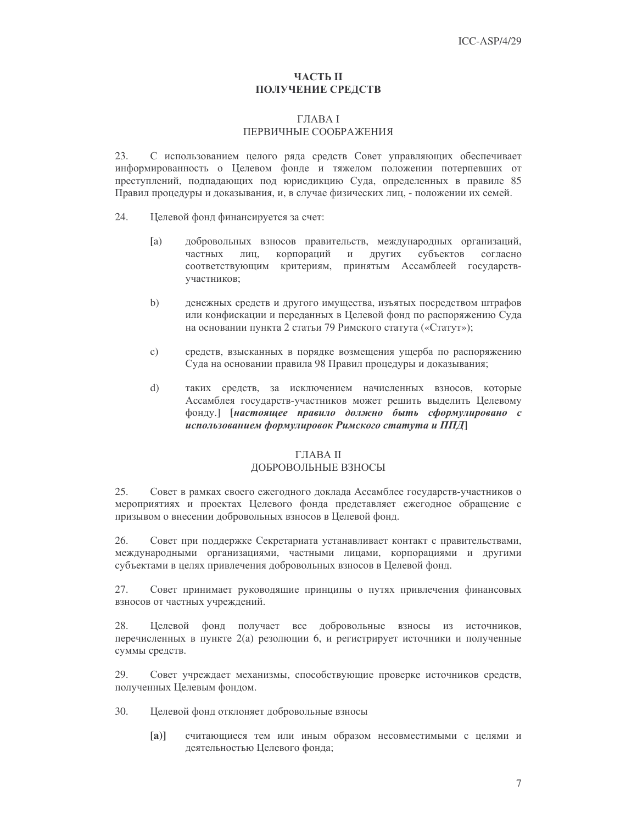#### ЧАСТЬ П **ПОЛУЧЕНИЕ СРЕДСТВ**

#### **THABAI** ПЕРВИЧНЫЕ СООБРАЖЕНИЯ

23. С использованием целого ряда средств Совет управляющих обеспечивает информированность о Целевом фонде и тяжелом положении потерпевших от преступлений, подпадающих под юрисдикцию Суда, определенных в правиле 85 Правил процедуры и доказывания, и, в случае физических лиц, - положении их семей.

- 24. Целевой фонд финансируется за счет:
	- $[a]$ добровольных взносов правительств, международных организаций, корпораций других частных лиц,  $\,$  M субъектов согласно соответствующим критериям, принятым Ассамблеей государствучастников;
	- $b)$ денежных средств и другого имущества, изъятых посредством штрафов или конфискации и переданных в Целевой фонд по распоряжению Суда на основании пункта 2 статьи 79 Римского статута («Статут»);
	- $\mathcal{C}$ ) средств, взысканных в порядке возмещения ущерба по распоряжению Суда на основании правила 98 Правил процедуры и доказывания;
	- $\mathrm{d}$ таких средств, за исключением начисленных взносов, которые Ассамблея государств-участников может решить выделить Целевому фонду.] [настоящее правило должно быть сформулировано с использованием формулировок Римского статута и ППД

#### ГЛАВА II

#### ДОБРОВОЛЬНЫЕ ВЗНОСЫ

 $25$ Совет в рамках своего ежегодного доклада Ассамблее государств-участников о мероприятиях и проектах Целевого фонда представляет ежегодное обращение с призывом о внесении добровольных взносов в Целевой фонд.

Совет при поддержке Секретариата устанавливает контакт с правительствами, 26. международными организациями, частными лицами, корпорациями и другими субъектами в целях привлечения добровольных взносов в Целевой фонд.

27. Совет принимает руководящие принципы о путях привлечения финансовых взносов от частных учреждений.

28. Целевой фонд получает все добровольные взносы из источников, перечисленных в пункте 2(а) резолюции 6, и регистрирует источники и полученные суммы средств.

29. Совет учреждает механизмы, способствующие проверке источников средств, полученных Целевым фондом.

- 30. Целевой фонд отклоняет добровольные взносы
	- $[a]$ считающиеся тем или иным образом несовместимыми с целями и деятельностью Целевого фонда;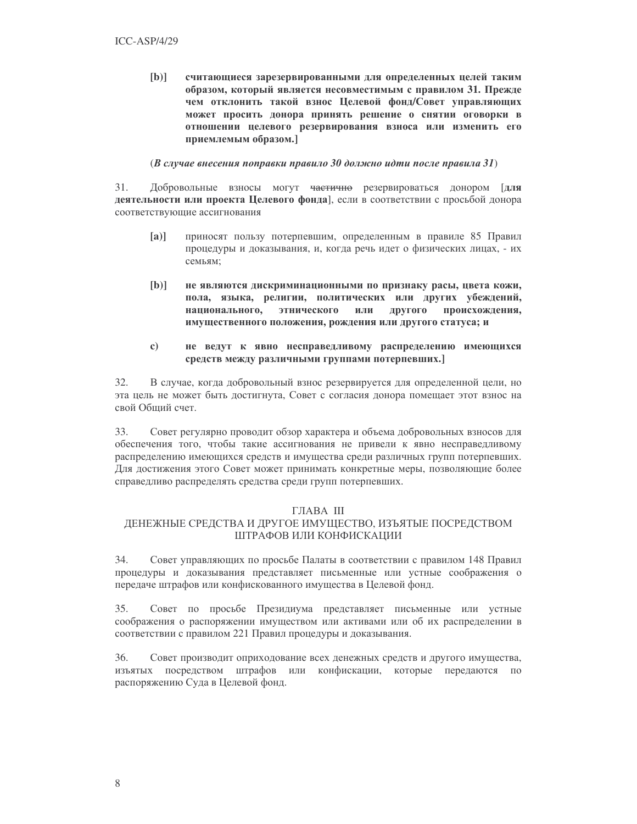$[b]$ считающиеся зарезервированными для определенных целей таким образом, который является несовместимым с правилом 31. Прежде чем отклонить такой взнос Целевой фонд/Совет управляющих может просить донора принять решение о снятии оговорки в отношении целевого резервирования взноса или изменить его приемлемым образом.]

#### (В случае внесения поправки правило 30 должно идти после правила 31)

31. Добровольные взносы могут <del>частично</del> резервироваться донором [для деятельности или проекта Целевого фонда], если в соответствии с просьбой донора соответствующие ассигнования

- $[a]$ приносят пользу потерпевшим, определенным в правиле 85 Правил процедуры и доказывания, и, когда речь идет о физических лицах, - их семьям;
- $[b]$ не являются дискриминационными по признаку расы, цвета кожи, пола, языка, религии, политических или других убеждений, национального, этнического или другого происхождения, имущественного положения, рождения или другого статуса; и
- $\mathbf{c}$ не ведут к явно несправедливому распределению имеющихся средств между различными группами потерпевших.]

 $32.$ В случае, когда добровольный взнос резервируется для определенной цели, но эта цель не может быть достигнута, Совет с согласия донора помещает этот взнос на свой Общий счет.

33. Совет регулярно проводит обзор характера и объема добровольных взносов для обеспечения того, чтобы такие ассигнования не привели к явно несправедливому распределению имеющихся средств и имущества среди различных групп потерпевших. Для достижения этого Совет может принимать конкретные меры, позволяющие более справедливо распределять средства среди групп потерпевших.

#### **ГЛАВА III**

#### ДЕНЕЖНЫЕ СРЕДСТВА И ДРУГОЕ ИМУЩЕСТВО, ИЗЪЯТЫЕ ПОСРЕДСТВОМ ШТРАФОВ ИЛИ КОНФИСКАЦИИ

34. Совет управляющих по просьбе Палаты в соответствии с правилом 148 Правил процедуры и доказывания представляет письменные или устные соображения о передаче штрафов или конфискованного имущества в Целевой фонд.

35. Совет по просьбе Президиума представляет письменные или устные соображения о распоряжении имуществом или активами или об их распределении в соответствии с правилом 221 Правил процедуры и доказывания.

 $36<sup>°</sup>$ Совет производит оприходование всех денежных средств и другого имущества, ИЗЪЯТЫХ посредством штрафов или конфискации, которые передаются по распоряжению Суда в Целевой фонд.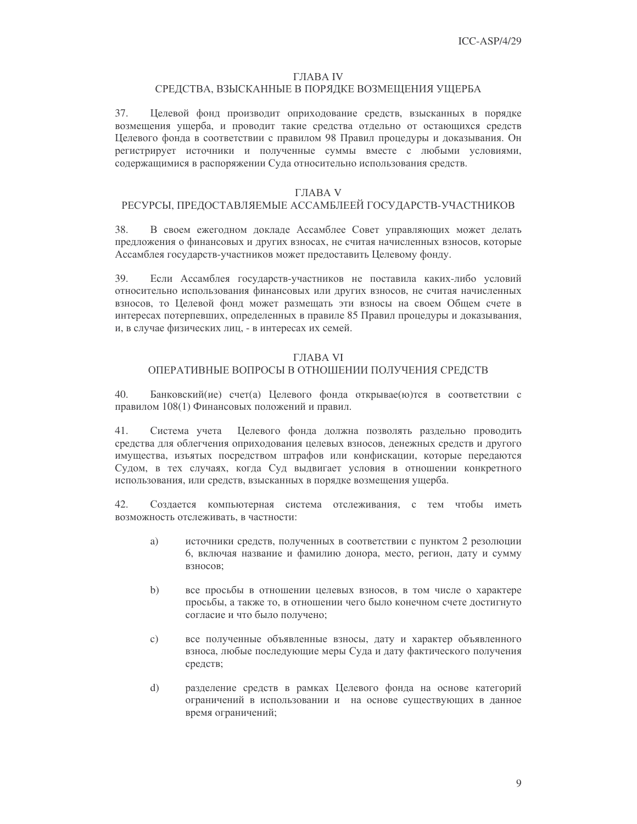#### **ГЛАВА IV**

## СРЕДСТВА, ВЗЫСКАННЫЕ В ПОРЯДКЕ ВОЗМЕЩЕНИЯ УЩЕРБА

Целевой фонд производит оприходование средств, взысканных в порядке 37. возмещения ущерба, и проводит такие средства отдельно от остающихся средств Целевого фонда в соответствии с правилом 98 Правил процедуры и доказывания. Он регистрирует источники и полученные суммы вместе с любыми условиями, содержащимися в распоряжении Суда относительно использования средств.

## ГЛАВА V

## РЕСУРСЫ, ПРЕДОСТАВЛЯЕМЫЕ АССАМБЛЕЕЙ ГОСУДАРСТВ-УЧАСТНИКОВ

38. В своем ежегодном докладе Ассамблее Совет управляющих может делать предложения о финансовых и других взносах, не считая начисленных взносов, которые Ассамблея государств-участников может предоставить Целевому фонду.

39. Если Ассамблея государств-участников не поставила каких-либо условий относительно использования финансовых или других взносов, не считая начисленных взносов, то Целевой фонд может размещать эти взносы на своем Общем счете в интересах потерпевших, определенных в правиле 85 Правил процедуры и доказывания, и, в случае физических лиц, - в интересах их семей.

### **ГЛАВА VI**

### ОПЕРАТИВНЫЕ ВОПРОСЫ В ОТНОШЕНИИ ПОЛУЧЕНИЯ СРЕДСТВ

40. Банковский(ие) счет(а) Целевого фонда открывае(ю) тся в соответствии с правилом 108(1) Финансовых положений и правил.

41. Система учета Целевого фонда должна позволять раздельно проводить средства для облегчения оприходования целевых взносов, денежных средств и другого имущества, изъятых посредством штрафов или конфискации, которые передаются Судом, в тех случаях, когда Суд выдвигает условия в отношении конкретного использования, или средств, взысканных в порядке возмещения ущерба.

42. Создается компьютерная система отслеживания, с тем чтобы иметь возможность отслеживать, в частности:

- a) источники средств, полученных в соответствии с пунктом 2 резолюции 6, включая название и фамилию донора, место, регион, дату и сумму взносов;
- $b)$ все просьбы в отношении целевых взносов, в том числе о характере просьбы, а также то, в отношении чего было конечном счете достигнуто согласие и что было получено:
- $\mathbf{c})$ все полученные объявленные взносы, дату и характер объявленного взноса, любые последующие меры Суда и дату фактического получения средств;
- d) разделение средств в рамках Целевого фонда на основе категорий ограничений в использовании и на основе существующих в данное время ограничений;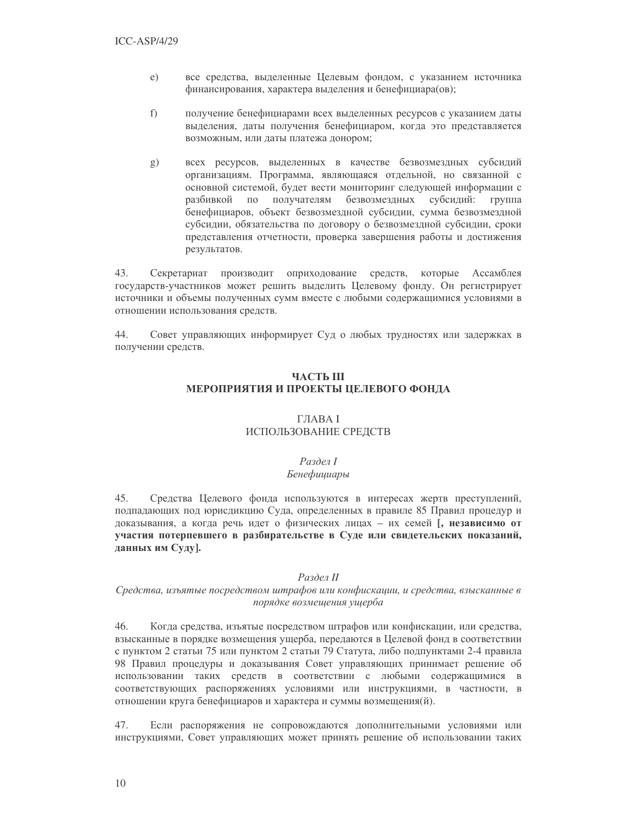- $e)$ все средства, выделенные Целевым фондом, с указанием источника финансирования, характера выделения и бенефициара(ов);
- $f$ ) получение бенефициарами всех выделенных ресурсов с указанием даты выделения, даты получения бенефициаром, когда это представляется возможным, или даты платежа донором;
- всех ресурсов, выделенных в качестве безвозмездных субсидий g) организациям. Программа, являющаяся отдельной, но связанной с основной системой, будет вести мониторинг следующей информации с разбивкой  $\Pi0$ получателям безвозмездных субсидий: группа бенефициаров, объект безвозмездной субсидии, сумма безвозмездной субсидии, обязательства по договору о безвозмездной субсидии, сроки представления отчетности, проверка завершения работы и достижения результатов.

43. Секретариат производит оприходование средств, которые Ассамблея государств-участников может решить выделить Целевому фонду. Он регистрирует источники и объемы полученных сумм вместе с любыми содержащимися условиями в отношении использования средств.

Совет управляющих информирует Суд о любых трудностях или задержках в 44. получении средств.

## **ЧАСТЬ Ш** МЕРОПРИЯТИЯ И ПРОЕКТЫ ЦЕЛЕВОГО ФОНДА

### **ГЛАВА I** ИСПОЛЬЗОВАНИЕ СРЕДСТВ

#### Раздел І Бенефициары

45. Средства Целевого фонда используются в интересах жертв преступлений, подпадающих под юрисдикцию Суда, определенных в правиле 85 Правил процедур и доказывания, а когда речь идет о физических лицах - их семей [, независимо от участия потерпевшего в разбирательстве в Суде или свидетельских показаний, данных им Суду].

#### Раздел II

#### Средства, изъятые посредством штрафов или конфискации, и средства, взысканные в порядке возмешения ушерба

46 Когда средства, изъятые посредством штрафов или конфискации, или средства, взысканные в порядке возмещения ущерба, передаются в Целевой фонд в соответствии с пунктом 2 статьи 75 или пунктом 2 статьи 79 Статута, либо подпунктами 2-4 правила 98 Правил процедуры и доказывания Совет управляющих принимает решение об использовании таких средств в соответствии с любыми содержащимися в соответствующих распоряжениях условиями или инструкциями, в частности, в отношении круга бенефициаров и характера и суммы возмещения(й).

47. Если распоряжения не сопровождаются дополнительными условиями или инструкциями, Совет управляющих может принять решение об использовании таких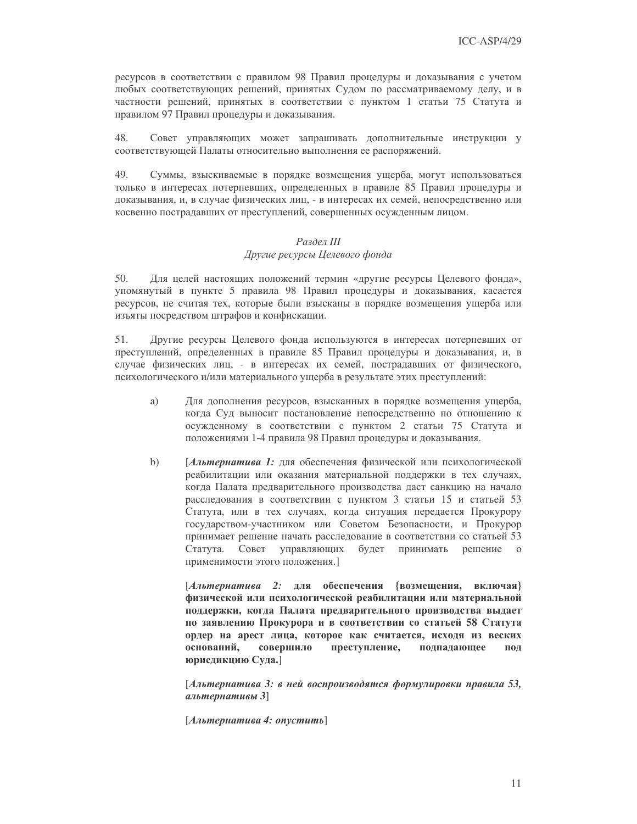ресурсов в соответствии с правилом 98 Правил процедуры и доказывания с учетом любых соответствующих решений, принятых Судом по рассматриваемому делу, и в частности решений, принятых в соответствии с пунктом 1 статьи 75 Статута и правилом 97 Правил процедуры и доказывания.

48. Совет управляющих может запрашивать дополнительные инструкции у соответствующей Палаты относительно выполнения ее распоряжений.

49 Суммы, взыскиваемые в порядке возмещения ущерба, могут использоваться только в интересах потерпевших, определенных в правиле 85 Правил процедуры и доказывания, и, в случае физических лиц, - в интересах их семей, непосредственно или косвенно пострадавших от преступлений, совершенных осужденным лицом.

#### Раздел III Другие ресурсы Целевого фонда

 $50<sup>°</sup>$ Для целей настоящих положений термин «другие ресурсы Целевого фонда», упомянутый в пункте 5 правила 98 Правил процедуры и доказывания, касается ресурсов, не считая тех, которые были взысканы в порядке возмещения ущерба или изъяты посредством штрафов и конфискации.

51. Другие ресурсы Целевого фонда используются в интересах потерпевших от преступлений, определенных в правиле 85 Правил процедуры и доказывания, и, в случае физических лиц, - в интересах их семей, пострадавших от физического, психологического и/или материального ущерба в результате этих преступлений:

- a) Для дополнения ресурсов, взысканных в порядке возмещения ущерба, когда Суд выносит постановление непосредственно по отношению к осужденному в соответствии с пунктом 2 статьи 75 Статута и положениями 1-4 правила 98 Правил процедуры и доказывания.
- $b)$ [Альтернатива 1: для обеспечения физической или психологической реабилитации или оказания материальной поддержки в тех случаях, когда Палата предварительного производства даст санкцию на начало расследования в соответствии с пунктом 3 статьи 15 и статьей 53 Статута, или в тех случаях, когда ситуация передается Прокурору государством-участником или Советом Безопасности, и Прокурор принимает решение начать расследование в соответствии со статьей 53 Статута. Совет управляющих будет принимать решение о применимости этого положения.]

[Альтернатива 2: для обеспечения {возмещения, включая} физической или психологической реабилитации или материальной поддержки, когда Палата предварительного производства выдает по заявлению Прокурора и в соответствии со статьей 58 Статута ордер на арест лица, которое как считается, исходя из веских оснований, совершило преступление, подпадающее под юрисдикцию Суда.]

[Альтернатива 3: в ней воспроизводятся формулировки правила 53, альтернативы  $3$ ]

[Альтернатива 4: опустить]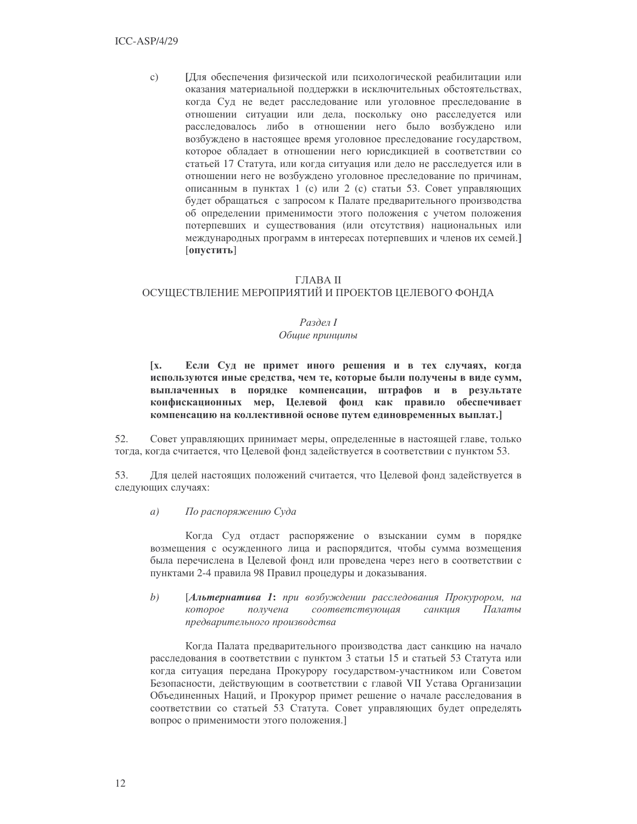$\mathcal{C}$ ) [Для обеспечения физической или психологической реабилитации или оказания материальной поддержки в исключительных обстоятельствах, когда Суд не ведет расследование или уголовное преследование в отношении ситуации или дела, поскольку оно расследуется или расследовалось либо в отношении него было возбуждено или возбуждено в настоящее время уголовное преследование государством, которое обладает в отношении него юрисдикцией в соответствии со статьей 17 Статута, или когда ситуация или дело не расследуется или в отношении него не возбуждено уголовное преследование по причинам, описанным в пунктах 1 (с) или 2 (с) статьи 53. Совет управляющих будет обращаться с запросом к Палате предварительного производства об определении применимости этого положения с учетом положения потерпевших и существования (или отсутствия) национальных или международных программ в интересах потерпевших и членов их семей.] [опустить]

#### ГЛАВА II

## ОСУЩЕСТВЛЕНИЕ МЕРОПРИЯТИЙ И ПРОЕКТОВ ЦЕЛЕВОГО ФОНДА

#### Раздел І

#### Общие принципы

 $\mathbf{I} \mathbf{x}$ . Если Суд не примет иного решения и в тех случаях, когда используются иные средства, чем те, которые были получены в виде сумм, выплаченных в порядке компенсации, штрафов и в результате конфискационных мер, Целевой фонд как правило обеспечивает компенсацию на коллективной основе путем единовременных выплат.

52. Совет управляющих принимает меры, определенные в настоящей главе, только тогда, когда считается, что Целевой фонд задействуется в соответствии с пунктом 53.

53. Для целей настоящих положений считается, что Целевой фонд задействуется в следующих случаях:

#### По распоряжению Суда  $a)$

Когда Суд отдаст распоряжение о взыскании сумм в порядке возмещения с осужденного лица и распорядится, чтобы сумма возмещения была перечислена в Целевой фонд или проведена через него в соответствии с пунктами 2-4 правила 98 Правил процедуры и доказывания.

 $b)$ [Альтернатива 1: при возбуждении расследования Прокурором, на соответствующая Палаты которое получена санкиия предварительного производства

Когда Палата предварительного производства даст санкцию на начало расследования в соответствии с пунктом 3 статьи 15 и статьей 53 Статута или когда ситуация передана Прокурору государством-участником или Советом Безопасности, действующим в соответствии с главой VII Устава Организации Объединенных Наций, и Прокурор примет решение о начале расследования в соответствии со статьей 53 Статута. Совет управляющих будет определять вопрос о применимости этого положения.]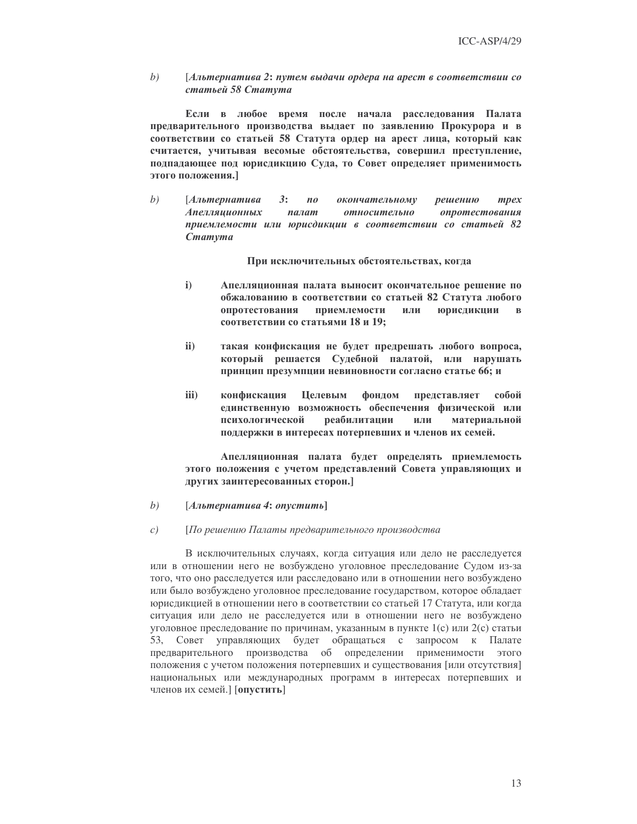$b)$ [Альтернатива 2: путем выдачи ордера на арест в соответствии со статьей 58 Статута

Если в любое время после начала расследования Палата предварительного производства выдает по заявлению Прокурора и в соответствии со статьей 58 Статута ордер на арест лица, который как считается, учитывая весомые обстоятельства, совершил преступление, подпадающее под юрисдикцию Суда, то Совет определяет применимость этого положения.]

 $b)$ [Альтернатива  $3:$  $n<sub>0</sub>$ окончательному решению mpex Апелляционных палат опротестования относительно приемлемости или юрисдикции в соответствии со статьей 82 Cmamyma

При исключительных обстоятельствах, когда

- $i)$ Апелляционная палата выносит окончательное решение по обжалованию в соответствии со статьей 82 Статута любого опротестования приемлемости или юрисдикции  $\mathbf{B}$ соответствии со статьями 18 и 19;
- $\mathbf{ii}$ такая конфискация не будет предрешать любого вопроса, который решается Судебной палатой, или нарушать принцип презумпции невиновности согласно статье 66; и
- iii) конфискация Целевым фондом представляет собой единственную возможность обеспечения физической или психологической реабилитации или материальной поддержки в интересах потерпевших и членов их семей.

Апелляционная палата будет определять приемлемость этого положения с учетом представлений Совета управляющих и других заинтересованных сторон.]

#### $b)$  $[Альтернатива 4: опустumb]$

#### $c)$ [По решению Палаты предварительного производства

В исключительных случаях, когда ситуация или дело не расследуется или в отношении него не возбуждено уголовное преследование Судом из-за того, что оно расследуется или расследовано или в отношении него возбуждено или было возбуждено уголовное преследование государством, которое обладает юрисдикцией в отношении него в соответствии со статьей 17 Статута, или когда ситуация или дело не расследуется или в отношении него не возбуждено уголовное преследование по причинам, указанным в пункте 1(с) или 2(с) статьи 53, Совет управляющих будет обращаться с запросом к Палате предварительного производства об определении применимости этого положения с учетом положения потерпевших и существования [или отсутствия] национальных или международных программ в интересах потерпевших и членов их семей.] [опустить]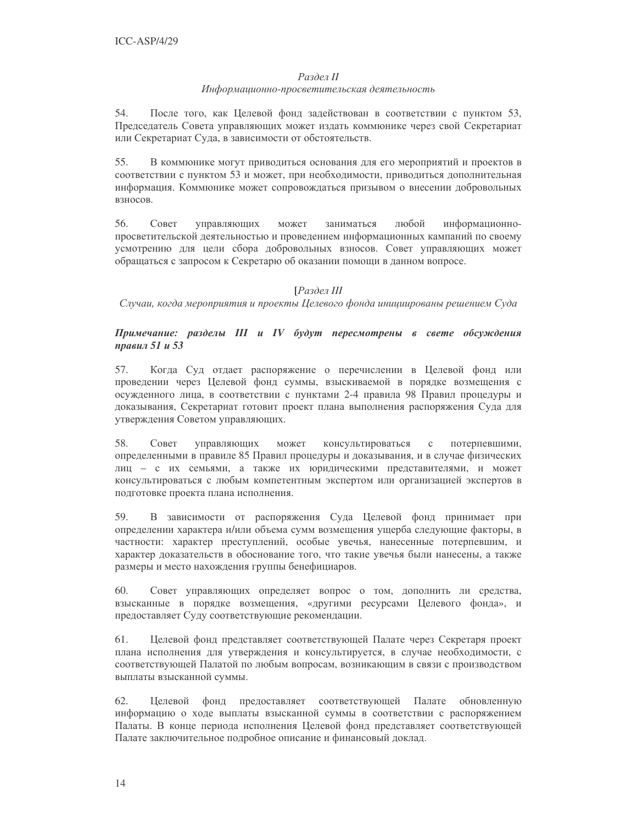#### Раздел II

## Информационно-просветительская деятельность

54. После того, как Целевой фонд задействован в соответствии с пунктом 53, Председатель Совета управляющих может издать коммюнике через свой Секретариат или Секретариат Суда, в зависимости от обстоятельств.

 $55.$ В коммюнике могут приводиться основания для его мероприятий и проектов в соответствии с пунктом 53 и может, при необходимости, приводиться дополнительная информация. Коммюнике может сопровождаться призывом о внесении добровольных взносов.

56. Совет может заниматься любой информационноуправляющих просветительской деятельностью и проведением информационных кампаний по своему усмотрению для цели сбора добровольных взносов. Совет управляющих может обращаться с запросом к Секретарю об оказании помощи в данном вопросе.

## ГРаздел III

Случаи, когда мероприятия и проекты Целевого фонда инициированы решением Суда

## Примечание: разделы III и IV будут пересмотрены в свете обсуждения правил 51 и 53

Когда Суд отдает распоряжение о перечислении в Целевой фонд или 57. проведении через Целевой фонд суммы, взыскиваемой в порядке возмещения с осужденного лица, в соответствии с пунктами 2-4 правила 98 Правил процедуры и доказывания, Секретариат готовит проект плана выполнения распоряжения Суда для утверждения Советом управляющих.

Совет 58. управляющих может консультироваться  $\mathbf{C}$ потерпевшими, определенными в правиле 85 Правил процедуры и доказывания, и в случае физических лиц - с их семьями, а также их юридическими представителями, и может консультироваться с любым компетентным экспертом или организацией экспертов в подготовке проекта плана исполнения.

59. В зависимости от распоряжения Суда Целевой фонд принимает при определении характера и/или объема сумм возмещения ущерба следующие факторы, в частности: характер преступлений, особые увечья, нанесенные потерпевшим, и характер доказательств в обоснование того, что такие увечья были нанесены, а также размеры и место нахождения группы бенефициаров.

60. Совет управляющих определяет вопрос о том, дополнить ли средства, взысканные в порядке возмещения, «другими ресурсами Целевого фонда», и предоставляет Суду соответствующие рекомендации.

61. Целевой фонд представляет соответствующей Палате через Секретаря проект плана исполнения для утверждения и консультируется, в случае необходимости, с соответствующей Палатой по любым вопросам, возникающим в связи с производством выплаты взысканной суммы.

62. Целевой фонд предоставляет соответствующей Палате обновленную информацию о ходе выплаты взысканной суммы в соответствии с распоряжением Палаты. В конце периода исполнения Целевой фонд представляет соответствующей Палате заключительное подробное описание и финансовый доклад.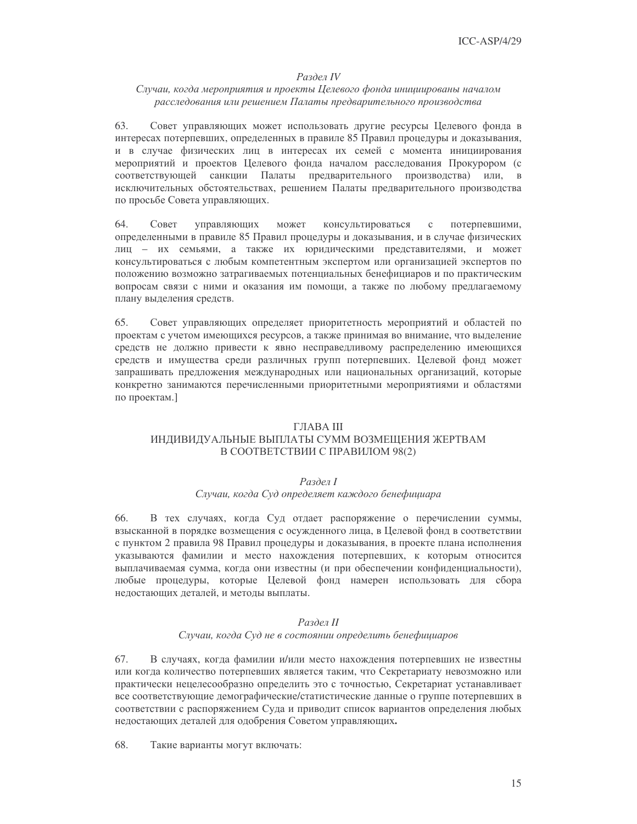#### Раздел IV

#### Случаи, когда мероприятия и проекты Целевого фонда инициированы началом расследования или решением Палаты предварительного производства

63. Совет управляющих может использовать другие ресурсы Целевого фонда в интересах потерпевших, определенных в правиле 85 Правил процедуры и доказывания, и в случае физических лиц в интересах их семей с момента инициирования мероприятий и проектов Целевого фонда началом расследования Прокурором (с соответствующей санкции Палаты предварительного производства) или, исключительных обстоятельствах, решением Палаты предварительного производства по просьбе Совета управляющих.

64. Совет консультироваться управляющих может  $\rm{c}$ потерпевшими, определенными в правиле 85 Правил процедуры и доказывания, и в случае физических лиц - их семьями, а также их юридическими представителями, и может консультироваться с любым компетентным экспертом или организацией экспертов по положению возможно затрагиваемых потенциальных бенефициаров и по практическим вопросам связи с ними и оказания им помощи, а также по любому предлагаемому плану выделения средств.

65. Совет управляющих определяет приоритетность мероприятий и областей по проектам с учетом имеющихся ресурсов, а также принимая во внимание, что выделение средств не должно привести к явно несправедливому распределению имеющихся средств и имущества среди различных групп потерпевших. Целевой фонд может запрашивать предложения международных или национальных организаций, которые конкретно занимаются перечисленными приоритетными мероприятиями и областями по проектам.]

#### ГЛАВА III

#### ИНДИВИДУАЛЬНЫЕ ВЫПЛАТЫ СУММ ВОЗМЕЩЕНИЯ ЖЕРТВАМ В СООТВЕТСТВИИ С ПРАВИЛОМ 98(2)

#### Раздел І

#### Случаи, когда Суд определяет каждого бенефициара

В тех случаях, когда Суд отдает распоряжение о перечислении суммы, 66. взысканной в порядке возмещения с осужденного лица, в Целевой фонд в соответствии с пунктом 2 правила 98 Правил процедуры и доказывания, в проекте плана исполнения указываются фамилии и место нахождения потерпевших, к которым относится выплачиваемая сумма, когда они известны (и при обеспечении конфиденциальности), любые процедуры, которые Целевой фонд намерен использовать для сбора нелостающих леталей, и метолы выплаты.

#### Раздел II Случаи, когда Суд не в состоянии определить бенефициаров

67. В случаях, когда фамилии и/или место нахождения потерпевших не известны или когда количество потерпевших является таким, что Секретариату невозможно или практически нецелесообразно определить это с точностью, Секретариат устанавливает все соответствующие демографические/статистические данные о группе потерпевших в соответствии с распоряжением Суда и приводит список вариантов определения любых недостающих деталей для одобрения Советом управляющих.

68. Такие варианты могут включать: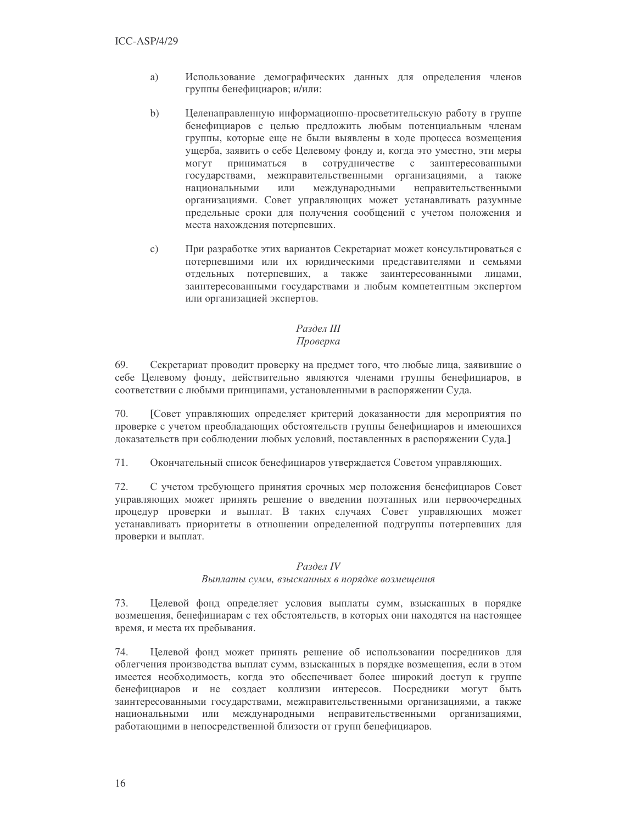- a) Использование демографических данных для определения членов группы бенефициаров; и/или:
- $b)$ Целенаправленную информационно-просветительскую работу в группе бенефициаров с целью предложить любым потенциальным членам группы, которые еще не были выявлены в ходе процесса возмещения ущерба, заявить о себе Целевому фонду и, когда это уместно, эти меры **MOTVT** приниматься в сотрудничестве с заинтересованными государствами, межправительственными организациями, а также ИЛИ международными неправительственными национальными организациями. Совет управляющих может устанавливать разумные предельные сроки для получения сообщений с учетом положения и места нахождения потерпевших.
- При разработке этих вариантов Секретариат может консультироваться с  $\mathcal{C}$ ) потерпевшими или их юридическими представителями и семьями отдельных потерпевших, а также заинтересованными лицами, заинтересованными государствами и любым компетентным экспертом или организацией экспертов.

#### Раздел III Проверка

69. Секретариат проводит проверку на предмет того, что любые лица, заявившие о себе Целевому фонду, действительно являются членами группы бенефициаров, в соответствии с любыми принципами, установленными в распоряжении Суда.

70. [Совет управляющих определяет критерий доказанности для мероприятия по проверке с учетом преобладающих обстоятельств группы бенефициаров и имеющихся доказательств при соблюдении любых условий, поставленных в распоряжении Суда.]

71. Окончательный список бенефициаров утверждается Советом управляющих.

72. С учетом требующего принятия срочных мер положения бенефициаров Совет управляющих может принять решение о введении поэтапных или первоочередных процедур проверки и выплат. В таких случаях Совет управляющих может устанавливать приоритеты в отношении определенной подгруппы потерпевших для проверки и выплат.

#### Раздел IV

#### Выплаты сумм, взысканных в порядке возмещения

73. Целевой фонд определяет условия выплаты сумм, взысканных в порядке возмещения, бенефициарам с тех обстоятельств, в которых они находятся на настоящее время, и места их пребывания.

74. Целевой фонд может принять решение об использовании посредников для облегчения производства выплат сумм, взысканных в порядке возмещения, если в этом имеется необходимость, когда это обеспечивает более широкий доступ к группе бенефициаров и не создает коллизии интересов. Посредники могут быть заинтересованными государствами, межправительственными организациями, а также национальными или международными неправительственными организациями, работающими в непосредственной близости от групп бенефициаров.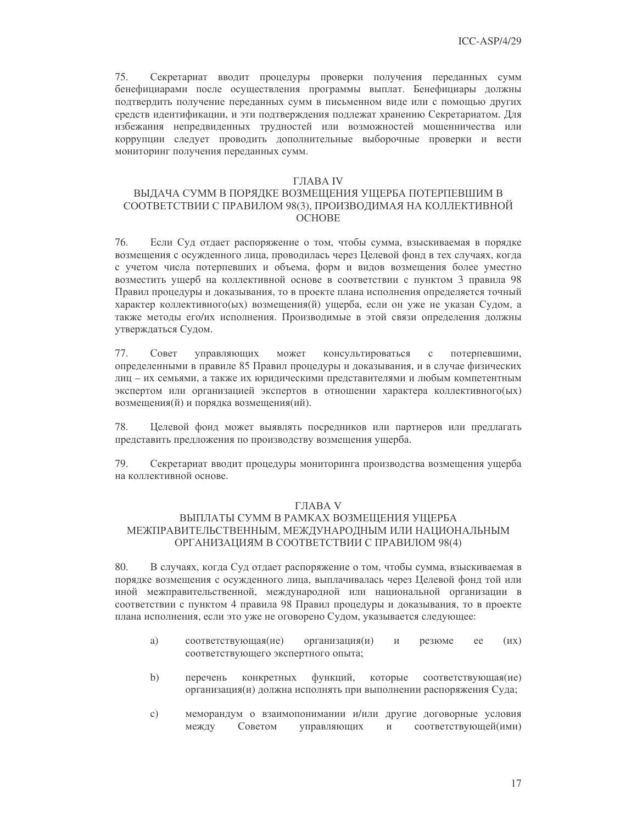75. Секретариат вводит процедуры проверки получения переданных сумм бенефициарами после осуществления программы выплат. Бенефициары должны подтвердить получение переданных сумм в письменном виде или с помощью других средств идентификации, и эти подтверждения подлежат хранению Секретариатом. Для избежания непредвиденных трудностей или возможностей мошенничества или коррупции следует проводить дополнительные выборочные проверки и вести мониторинг получения переданных сумм.

#### ГЛАВА IV

### ВЫДАЧА СУММ В ПОРЯДКЕ ВОЗМЕЩЕНИЯ УЩЕРБА ПОТЕРПЕВШИМ В СООТВЕТСТВИИ С ПРАВИЛОМ 98(3), ПРОИЗВОДИМАЯ НА КОЛЛЕКТИВНОЙ **OCHOBE**

76. Если Суд отдает распоряжение о том, чтобы сумма, взыскиваемая в порядке возмещения с осужденного лица, проводилась через Целевой фонд в тех случаях, когда с учетом числа потерпевших и объема, форм и видов возмещения более уместно возместить ущерб на коллективной основе в соответствии с пунктом 3 правила 98 Правил процедуры и доказывания, то в проекте плана исполнения определяется точный характер коллективного(ых) возмещения(й) ущерба, если он уже не указан Судом, а также методы его/их исполнения. Производимые в этой связи определения должны утверждаться Судом.

77. Совет управляющих может консультироваться потерпевшими,  $\mathcal{C}$ определенными в правиле 85 Правил процедуры и доказывания, и в случае физических лиц - их семьями, а также их юридическими представителями и любым компетентным экспертом или организацией экспертов в отношении характера коллективного(ых) возмещения(й) и порядка возмещения(ий).

Целевой фонд может выявлять посредников или партнеров или предлагать 78. представить предложения по производству возмещения ущерба.

79. Секретариат вводит процедуры мониторинга производства возмещения ущерба на коллективной основе.

#### **ГЛАВА V**

#### ВЫПЛАТЫ СУММ В РАМКАХ ВОЗМЕЩЕНИЯ УЩЕРБА МЕЖПРАВИТЕЛЬСТВЕННЫМ, МЕЖДУНАРОДНЫМ ИЛИ НАЦИОНАЛЬНЫМ ОРГАНИЗАЦИЯМ В СООТВЕТСТВИИ С ПРАВИЛОМ 98(4)

80. В случаях, когда Суд отдает распоряжение о том, чтобы сумма, взыскиваемая в порядке возмещения с осужденного лица, выплачивалась через Целевой фонд той или иной межправительственной, международной или национальной организации в соответствии с пунктом 4 правила 98 Правил процедуры и доказывания, то в проекте плана исполнения, если это уже не оговорено Судом, указывается следующее:

- a) соответствующая(ие) организация(и)  $(MX)$  $\overline{M}$ резюме ee соответствующего экспертного опыта;
- $b)$ функций, которые соответствующая(ие) перечень конкретных организация(и) должна исполнять при выполнении распоряжения Суда;
- $\mathbf{c})$ меморандум о взаимопонимании и/или другие договорные условия между Советом соответствующей(ими) управляющих  $\overline{\mathbf{M}}$